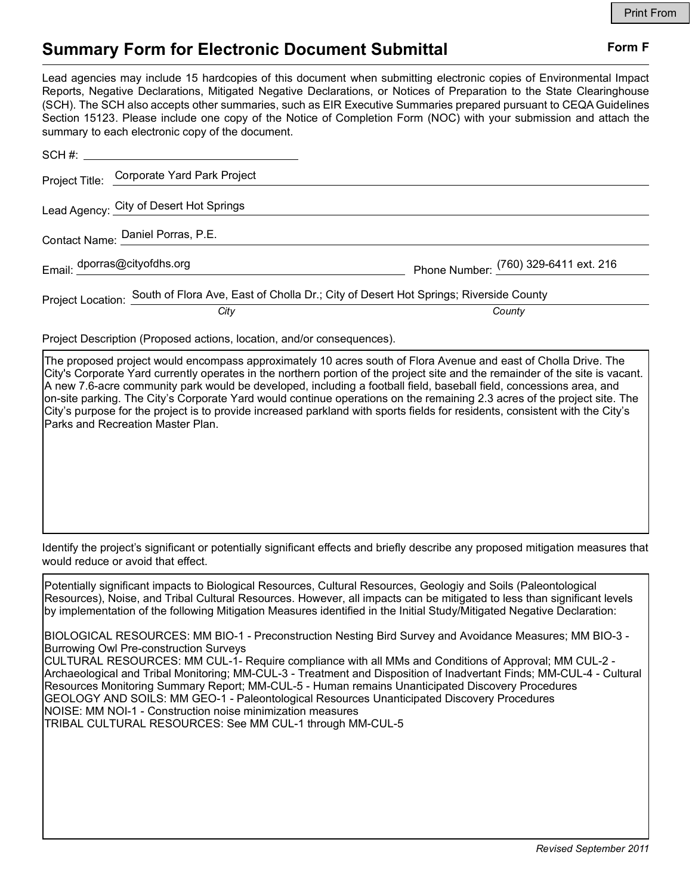## **Summary Form for Electronic Document Submittal Form F Form F**

Lead agencies may include 15 hardcopies of this document when submitting electronic copies of Environmental Impact Reports, Negative Declarations, Mitigated Negative Declarations, or Notices of Preparation to the State Clearinghouse (SCH). The SCH also accepts other summaries, such as EIR Executive Summaries prepared pursuant to CEQA Guidelines Section 15123. Please include one copy of the Notice of Completion Form (NOC) with your submission and attach the summary to each electronic copy of the document.

|                                   | Project Title: Corporate Yard Park Project                                                             |                                       |
|-----------------------------------|--------------------------------------------------------------------------------------------------------|---------------------------------------|
|                                   | Lead Agency: City of Desert Hot Springs                                                                |                                       |
| Contact Name: Daniel Porras, P.E. |                                                                                                        |                                       |
|                                   | Email: dporras@cityofdhs.org                                                                           | Phone Number: (760) 329-6411 ext. 216 |
|                                   | Project Location: South of Flora Ave, East of Cholla Dr.; City of Desert Hot Springs; Riverside County |                                       |
|                                   | City                                                                                                   | County                                |

Project Description (Proposed actions, location, and/or consequences).

The proposed project would encompass approximately 10 acres south of Flora Avenue and east of Cholla Drive. The City's Corporate Yard currently operates in the northern portion of the project site and the remainder of the site is vacant. A new 7.6-acre community park would be developed, including a football field, baseball field, concessions area, and on-site parking. The City's Corporate Yard would continue operations on the remaining 2.3 acres of the project site. The City's purpose for the project is to provide increased parkland with sports fields for residents, consistent with the City's Parks and Recreation Master Plan.

Identify the project's significant or potentially significant effects and briefly describe any proposed mitigation measures that would reduce or avoid that effect.

Potentially significant impacts to Biological Resources, Cultural Resources, Geologiy and Soils (Paleontological Resources), Noise, and Tribal Cultural Resources. However, all impacts can be mitigated to less than significant levels by implementation of the following Mitigation Measures identified in the Initial Study/Mitigated Negative Declaration:

BIOLOGICAL RESOURCES: MM BIO-1 - Preconstruction Nesting Bird Survey and Avoidance Measures; MM BIO-3 - Burrowing Owl Pre-construction Surveys

CULTURAL RESOURCES: MM CUL-1- Require compliance with all MMs and Conditions of Approval; MM CUL-2 - Archaeological and Tribal Monitoring; MM-CUL-3 - Treatment and Disposition of Inadvertant Finds; MM-CUL-4 - Cultural Resources Monitoring Summary Report; MM-CUL-5 - Human remains Unanticipated Discovery Procedures GEOLOGY AND SOILS: MM GEO-1 - Paleontological Resources Unanticipated Discovery Procedures NOISE: MM NOI-1 - Construction noise minimization measures TRIBAL CULTURAL RESOURCES: See MM CUL-1 through MM-CUL-5